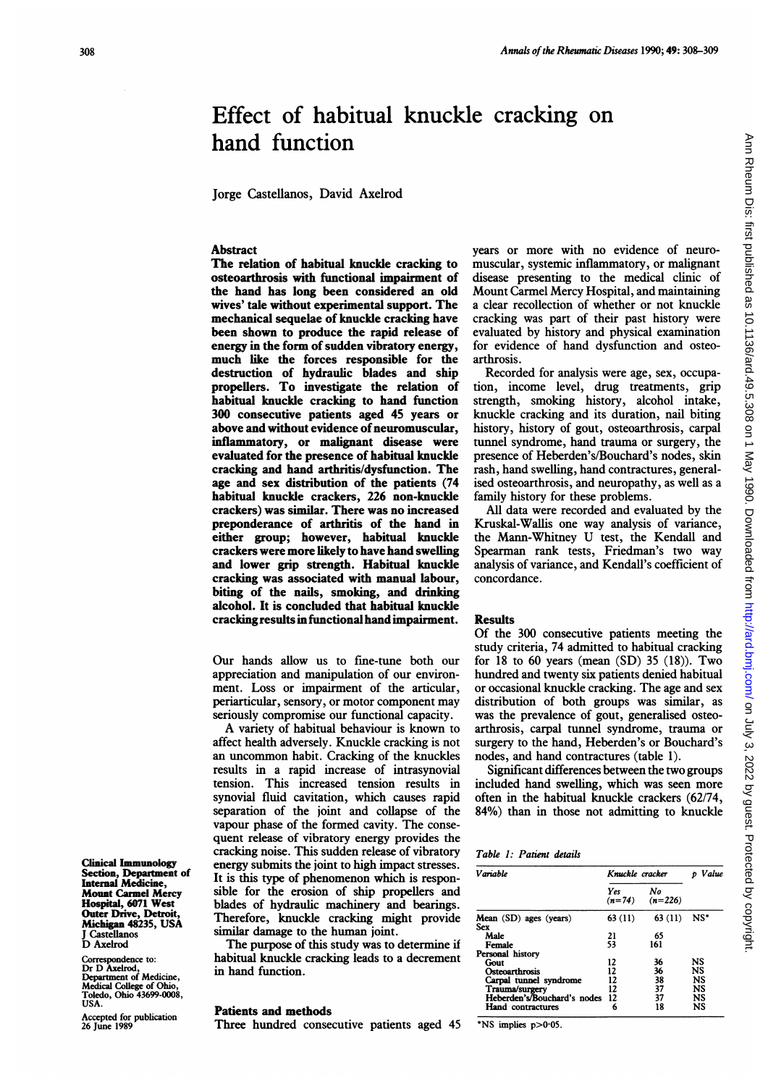# Effect of habitual knuckle cracking on hand function

Jorge Castellanos, David Axelrod

## Abstract

The relation of habitual knuckle cracking to osteoarthrosis with functional impairment of the hand has long been considered an old wives' tale without experimental support. The mechanical sequelae of knuckle cracking have been shown to produce the rapid release of energy in the form of sudden vibratory energy, much like the forces responsible for the destruction of hydraulic blades and ship propellers. To investigate the relation of habitual knuckle cracking to hand function 300 consecutive patients aged 45 years or above and without evidence of neuromuscular, inflammatory, or malignant disease were evaluated for the presence of habitual knuckle cracking and hand arthritis/dysfunction. The age and sex distribution of the patients (74 habitual knuckle crackers, 226 non-knuckle crackers) was similar. There was no increased preponderance of arthritis of the hand in either group; however, habitual knuckle crackers were more likely to have hand swelling and lower grip strength. Habitual knuckle cracking was associated with manual labour, biting of the nails, smoking, and drinking alcohol. It is concluded that habitual knuckle cracking results in functional hand impairment.

Our hands allow us to fine-tune both our appreciation and manipulation of our environment. Loss or impairment of the articular, periarticular, sensory, or motor component may seriously compromise our functional capacity.

A variety of habitual behaviour is known to affect health adversely. Knuckle cracking is not an uncommon habit. Cracking of the knuckles results in a rapid increase of intrasynovial tension. This increased tension results in synovial fluid cavitation, which causes rapid separation of the joint and collapse of the vapour phase of the formed cavity. The consequent release of vibratory energy provides the cracking noise. This sudden release of vibratory energy submits the joint to high impact stresses. It is this type of phenomenon which is responsible for the erosion of ship propellers and blades of hydraulic machinery and bearings. Therefore, knuckle cracking might provide similar damage to the human joint.

The purpose of this study was to determine if habitual knuckle cracking leads to a decrement in hand function.

### Patients and methods

Three hundred consecutive patients aged 45

years or more with no evidence of neuromuscular, systemic inflammatory, or malignant disease presenting to the medical clinic of Mount Carmel Mercy Hospital, and maintaining a clear recollection of whether or not knuckle cracking was part of their past history were evaluated by history and physical examination for evidence of hand dysfunction and osteoarthrosis.

Recorded for analysis were age, sex, occupation, income level, drug treatments, grip strength, smoking history, alcohol intake, knuckle cracking and its duration, nail biting history, history of gout, osteoarthrosis, carpal tunnel syndrome, hand trauma or surgery, the presence of Heberden's/Bouchard's nodes, skin rash, hand swelling, hand contractures, generalised osteoarthrosis, and neuropathy, as well as a family history for these problems.

All data were recorded and evaluated by the Kruskal-Wallis one way analysis of variance, the Mann-Whitney U test, the Kendall and Spearman rank tests, Friedman's two way analysis of variance, and Kendall's coefficient of concordance.

#### Results

Of the 300 consecutive patients meeting the study criteria, 74 admitted to habitual cracking for 18 to 60 years (mean  $(SD)$  35 (18)). Two hundred and twenty six patients denied habitual or occasional knuckle cracking. The age and sex distribution of both groups was similar, as was the prevalence of gout, generalised osteoarthrosis, carpal tunnel syndrome, trauma or surgery to the hand, Heberden's or Bouchard's nodes, and hand contractures (table 1).

Significant differences between the two groups included hand swelling, which was seen more often in the habitual knuckle crackers (62/74, 84%) than in those not admitting to knuckle

#### Table 1: Patient details

| Variable                       | Knuckle cracker |                 | Value  |
|--------------------------------|-----------------|-----------------|--------|
|                                | Yes<br>$(n=74)$ | No<br>$(n=226)$ |        |
| Mean (SD) ages (years)         | 63 (11)         | 63 (11)         | $NS^*$ |
| <b>Sex</b><br>Male             | 21              | 65              |        |
|                                |                 |                 |        |
| Female                         | 53              | 161             |        |
| Personal history               |                 |                 |        |
| Gout                           | 12              | 36              | NS     |
| Osteoarthrosis                 | 12              | 36              | NS     |
| Carpal tunnel syndrome         | 12              | 38              | NS     |
| Trauma/surgery                 | 12              | 37              | NS     |
|                                |                 |                 | NS     |
| Heberden's/Bouchard's nodes 12 |                 | 37              |        |
| Hand contractures              | 6               | 18              | NS     |

\*NS implies  $p>0.05$ .

Clinical Immunology Section, Department of Internal Medicine, Mount Carmel Mercy Hospital, 6071 West Outer Drive, Detroit, Micligan 48235, USA J Castellanos D Axelrod

Correspondence to: Dr D Axelrod, Department of Medicine, Medical College of Ohio, Toledo, Ohio 43699-0008, USA.

Accepted for publication 26 June 1989